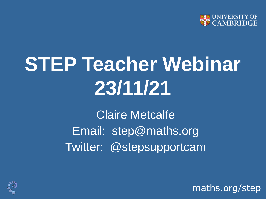

# **STEP Teacher Webinar 23/11/21**

Claire Metcalfe Email: step@maths.org Twitter: @stepsupportcam

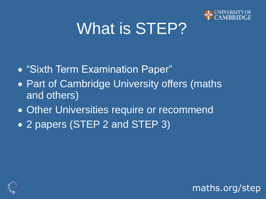

#### What is STEP?

- "Sixth Term Examination Paper"
- Part of Cambridge University offers (maths and others)
- Other Universities require or recommend
- 2 papers (STEP 2 and STEP 3)



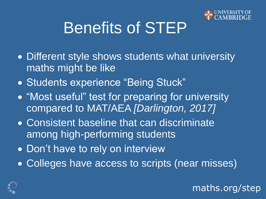

maths.org/step

#### Benefits of STEP

- Different style shows students what university maths might be like
- Students experience "Being Stuck"
- "Most useful" test for preparing for university compared to MAT/AEA *[Darlington, 2017]*
- Consistent baseline that can discriminate among high-performing students
- Don't have to rely on interview
- Colleges have access to scripts (near misses)

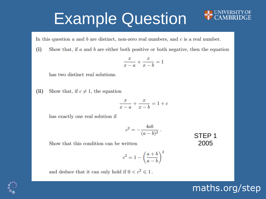#### Example Question

In this question  $a$  and  $b$  are distinct, non-zero real numbers, and  $c$  is a real number.

 $(i)$ Show that, if  $a$  and  $b$  are either both positive or both negative, then the equation

$$
\frac{x}{x-a} + \frac{x}{x-b} = 1
$$

has two distinct real solutions.

 $(ii)$ Show that, if  $c \neq 1$ , the equation

$$
\frac{x}{x-a}+\frac{x}{x-b}=1+c
$$

has exactly one real solution if

$$
c^2=-\frac{4ab}{(a-b)^2}\;.
$$

STEP 1 2005

maths.org/step

Show that this condition can be written

$$
c^2=1-\left(\frac{a+b}{a-b}\right)^2
$$

and deduce that it can only hold if  $0 < c^2 \leq 1$ .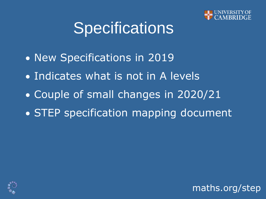

#### **Specifications**

- New Specifications in 2019
- Indicates what is not in A levels
- Couple of small changes in 2020/21
- STEP specification mapping document



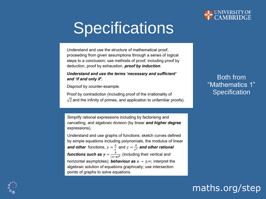

#### **Specifications**

Understand and use the structure of mathematical proof. proceeding from given assumptions through a series of logical steps to a conclusion; use methods of proof, including proof by deduction, proof by exhaustion, proof by induction.

#### Understand and use the terms 'necessary and sufficient' and 'if and only if'.

Disproof by counter-example.

Proof by contradiction (including proof of the irrationality of  $\sqrt{2}$  and the infinity of primes, and application to unfamiliar proofs).

Simplify rational expressions including by factorising and cancelling, and algebraic division (by linear and higher degree expressions).

Understand and use graphs of functions; sketch curves defined by simple equations including polynomials, the modulus of linear **and other** functions,  $y = \frac{a}{x}$  and  $y = \frac{a}{x^2}$  and other rational **functions such as**  $y = \frac{x}{(x-a)^2}$  (including their vertical and horizontal asymptotes); **behaviour as**  $x \rightarrow \pm \infty$ ; interpret the algebraic solution of equations graphically; use intersection points of graphs to solve equations.

Both from "Mathematics 1" **Specification** 

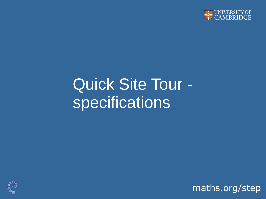

#### Quick Site Tour specifications

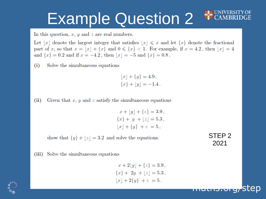#### Example Question 2

In this question,  $x, y$  and  $z$  are real numbers.

Let |x| denote the largest integer that satisfies  $|x| \leq x$  and let  $\{x\}$  denote the fractional part of x, so that  $x = \lfloor x \rfloor + \{x\}$  and  $0 \le \{x\} < 1$ . For example, if  $x = 4.2$ , then  $\lfloor x \rfloor = 4$ . and  $\{x\} = 0.2$  and if  $x = -4.2$ , then  $\lfloor x \rfloor = -5$  and  $\{x\} = 0.8$ .

 $(i)$ Solve the simultaneous equations

$$
[x] + \{y\} = 4.9,
$$
  

$$
\{x\} + [y] = -1.4.
$$

Given that x, y and z satisfy the simultaneous equations  $(ii)$ 

$$
x + \lfloor y \rfloor + \{z\} = 3.9,
$$
  

$$
\{x\} + y + \lfloor z \rfloor = 5.3,
$$
  

$$
\lfloor x \rfloor + \{y\} + z = 5,
$$

show that  $\{y\} + \lfloor z \rfloor = 3.2$  and solve the equations.



maths.org

(iii) Solve the simultaneous equations

$$
x + 2[y] + \{z\} = 3.9,
$$
  

$$
\{x\} + 2y + \lfloor z \rfloor = 5.3,
$$
  

$$
\lfloor x \rfloor + 2\{y\} + z = 5.
$$

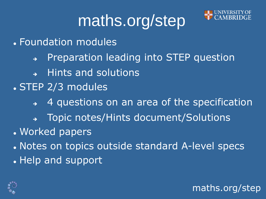## maths.org/step



maths.org/step

⚫ Foundation modules

- ➔ Preparation leading into STEP question
- ➔ Hints and solutions
- ⚫ STEP 2/3 modules
	- ➔ 4 questions on an area of the specification
	- ➔ Topic notes/Hints document/Solutions
- ⚫ Worked papers
- ⚫ Notes on topics outside standard A-level specs
- ⚫ Help and support

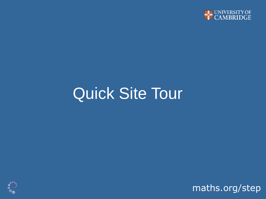

#### Quick Site Tour

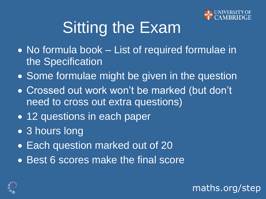

### **Sitting the Exam**

- No formula book List of required formulae in the Specification
- Some formulae might be given in the question
- Crossed out work won't be marked (but don't need to cross out extra questions)
- 12 questions in each paper
- 3 hours long
- Each question marked out of 20
- Best 6 scores make the final score

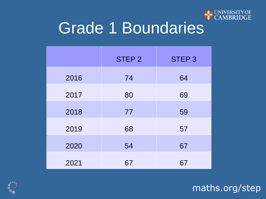

#### Grade 1 Boundaries

|      | <b>STEP 2</b> | STEP <sub>3</sub> |
|------|---------------|-------------------|
| 2016 | 74            | 64                |
| 2017 | 80            | 69                |
| 2018 | 77            | 59                |
| 2019 | 68            | 57                |
| 2020 | 54            | 67                |
| 2021 | 67            | 67                |

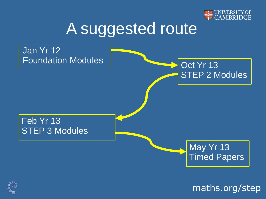

#### A suggested route



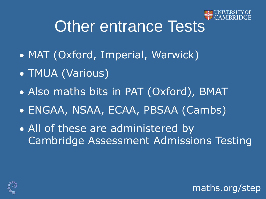

maths.org/step

#### Other entrance Tests

- MAT (Oxford, Imperial, Warwick)
- TMUA (Various)
- Also maths bits in PAT (Oxford), BMAT
- ENGAA, NSAA, ECAA, PBSAA (Cambs)
- All of these are administered by Cambridge Assessment Admissions Testing

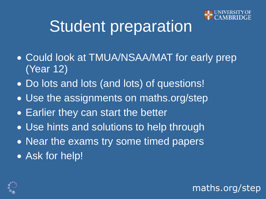

#### Student preparation

- Could look at TMUA/NSAA/MAT for early prep (Year 12)
- Do lots and lots (and lots) of questions!
- Use the assignments on maths.org/step
- Earlier they can start the better
- Use hints and solutions to help through
- Near the exams try some timed papers
- Ask for help!